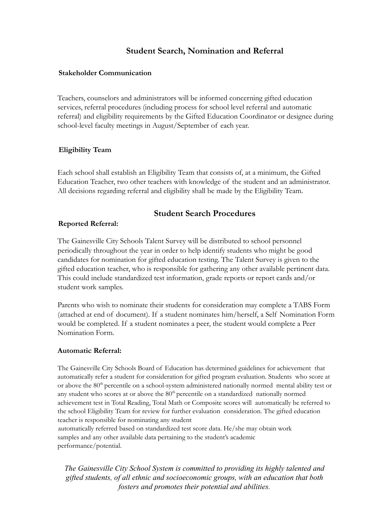# **Student Search, Nomination and Referral**

### **Stakeholder Communication**

Teachers, counselors and administrators will be informed concerning gifted education services, referral procedures (including process for school level referral and automatic referral) and eligibility requirements by the Gifted Education Coordinator or designee during school-level faculty meetings in August/September of each year.

## **Eligibility Team**

Each school shall establish an Eligibility Team that consists of, at a minimum, the Gifted Education Teacher, two other teachers with knowledge of the student and an administrator. All decisions regarding referral and eligibility shall be made by the Eligibility Team.

# **Student Search Procedures**

## **Reported Referral:**

The Gainesville City Schools Talent Survey will be distributed to school personnel periodically throughout the year in order to help identify students who might be good candidates for nomination for gifted education testing. The Talent Survey is given to the gifted education teacher, who is responsible for gathering any other available pertinent data. This could include standardized test information, grade reports or report cards and/or student work samples.

Parents who wish to nominate their students for consideration may complete a TABS Form (attached at end of document). If a student nominates him/herself, a Self Nomination Form would be completed. If a student nominates a peer, the student would complete a Peer Nomination Form.

## **Automatic Referral:**

The Gainesville City Schools Board of Education has determined guidelines for achievement that automatically refer a student for consideration for gifted program evaluation. Students who score at or above the 80<sup>th</sup> percentile on a school-system administered nationally normed mental ability test or any student who scores at or above the 80<sup>th</sup> percentile on a standardized nationally normed achievement test in Total Reading, Total Math or Composite scores will automatically be referred to the school Eligibility Team for review for further evaluation consideration. The gifted education teacher is responsible for nominating any student

automatically referred based on standardized test score data. He/she may obtain work samples and any other available data pertaining to the student's academic performance/potential.

*The Gainesville City School System is committed to providing its highly talented and gifted students, of all ethnic and socioeconomic groups, with an education that both fosters and promotes their potential and abilities.*